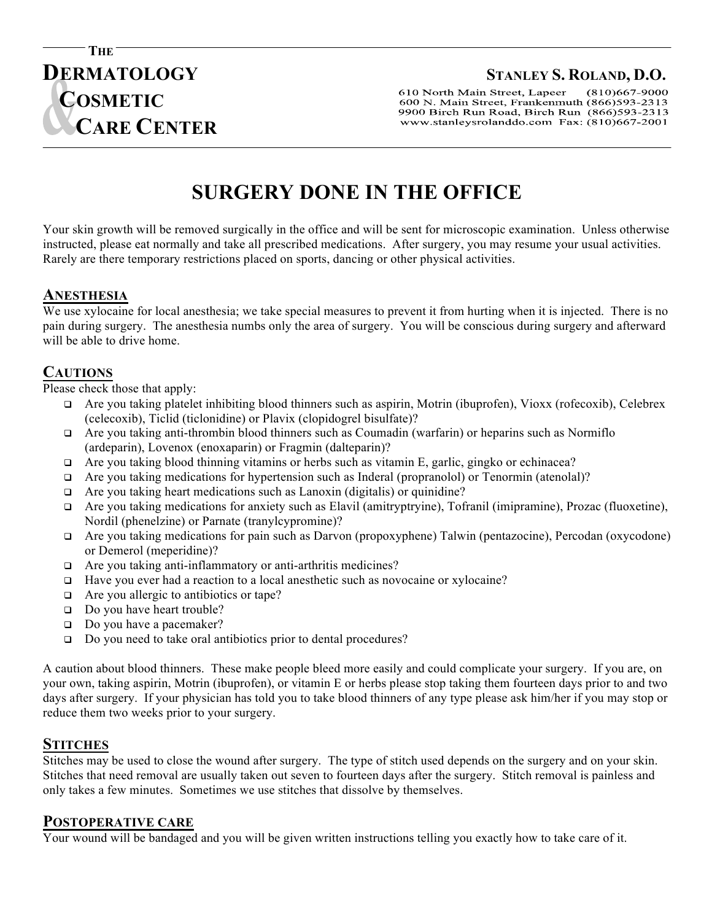## **DERMATOLOGY STANLEY S. ROLAND, D.O.**

 $(810)667 - 9000$ 610 North Main Street, Lapeer 600 N. Main Street, Frankenmuth (866)593-2313 9900 Birch Run Road, Birch Run (866)593-2313 www.stanleysrolanddo.com Fax: (810)667-2001

# **SURGERY DONE IN THE OFFICE**

Your skin growth will be removed surgically in the office and will be sent for microscopic examination. Unless otherwise **M** instructed, please eat normally and take all prescribed medications. After surgery, you may resume your usual activities. **E** Rarely are there temporary restrictions placed on sports, dancing or other physical activities. **T**

## **ANESTHESIA I**

**C** 

**THE** 

**COSMETIC**

 **CARE CENTER**

We use xylocaine for local anesthesia; we take special measures to prevent it from hurting when it is injected. There is no we use xylocalne for local anesthesia; we take special measures to prevent it from nurting when it is injected. There is no<br>pain during surgery. The anesthesia numbs only the area of surgery. You will be conscious during s will be able to drive home.

## **CAUTIONS**

Please check those that apply:

- $\Box$  Are you taking platelet inhibiting blood thinners such as aspirin, Motrin (ibuprofen), Vioxx (rofecoxib), Celebrex (celecoxib), Ticlid (ticlonidine) or Plavix (clopidogrel bisulfate)?
- $\Box$  Are you taking anti-thrombin blood thinners such as Coumadin (warfarin) or heparins such as Normiflo (ardeparin), Lovenox (enoxaparin) or Fragmin (dalteparin)?
- $\Box$  Are you taking blood thinning vitamins or herbs such as vitamin E, garlic, gingko or echinacea?
- $\Box$  Are you taking medications for hypertension such as Inderal (propranolol) or Tenormin (atenolal)?
- q Are you taking heart medications such as Lanoxin (digitalis) or quinidine?
- $\Box$  Are you taking medications for anxiety such as Elavil (amitryptryine), Tofranil (imipramine), Prozac (fluoxetine), Nordil (phenelzine) or Parnate (tranylcypromine)?
- q Are you taking medications for pain such as Darvon (propoxyphene) Talwin (pentazocine), Percodan (oxycodone) or Demerol (meperidine)?
- q Are you taking anti-inflammatory or anti-arthritis medicines?
- $\Box$  Have you ever had a reaction to a local anesthetic such as novocaine or xylocaine?
- $\Box$  Are you allergic to antibiotics or tape?
- $\Box$  Do you have heart trouble?
- $\Box$  Do you have a pacemaker?
- □ Do you need to take oral antibiotics prior to dental procedures?

A caution about blood thinners. These make people bleed more easily and could complicate your surgery. If you are, on your own, taking aspirin, Motrin (ibuprofen), or vitamin E or herbs please stop taking them fourteen days prior to and two days after surgery. If your physician has told you to take blood thinners of any type please ask him/her if you may stop or reduce them two weeks prior to your surgery.

## **STITCHES**

Stitches may be used to close the wound after surgery. The type of stitch used depends on the surgery and on your skin. Stitches that need removal are usually taken out seven to fourteen days after the surgery. Stitch removal is painless and only takes a few minutes. Sometimes we use stitches that dissolve by themselves.

#### **POSTOPERATIVE CARE**

Your wound will be bandaged and you will be given written instructions telling you exactly how to take care of it.